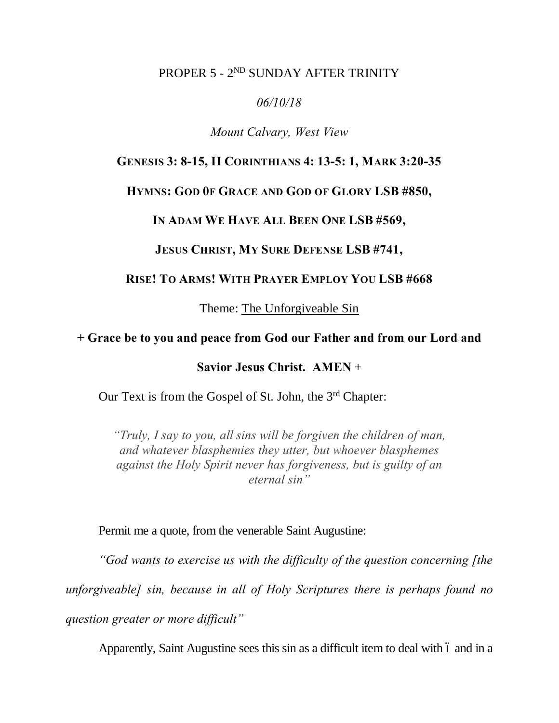## PROPER 5 - 2<sup>ND</sup> SUNDAY AFTER TRINITY

### *06/10/18*

### *Mount Calvary, West View*

## **GENESIS 3: 8-15, II CORINTHIANS 4: 13-5: 1, MARK 3:20-35**

#### **HYMNS: GOD 0F GRACE AND GOD OF GLORY LSB #850,**

#### **IN ADAM WE HAVE ALL BEEN ONE LSB #569,**

## **JESUS CHRIST, MY SURE DEFENSE LSB #741,**

## **RISE! TO ARMS! WITH PRAYER EMPLOY YOU LSB #668**

Theme: The Unforgiveable Sin

## **+ Grace be to you and peace from God our Father and from our Lord and**

**Savior Jesus Christ. AMEN** +

Our Text is from the Gospel of St. John, the 3<sup>rd</sup> Chapter:

*"Truly, I say to you, all sins will be forgiven the children of man, and whatever blasphemies they utter, but whoever blasphemes against the Holy Spirit never has forgiveness, but is guilty of an eternal sin"*

Permit me a quote, from the venerable Saint Augustine:

*"God wants to exercise us with the difficulty of the question concerning [the* 

*unforgiveable] sin, because in all of Holy Scriptures there is perhaps found no* 

*question greater or more difficult"*

Apparently, Saint Augustine sees this sin as a difficult item to deal with 6 and in a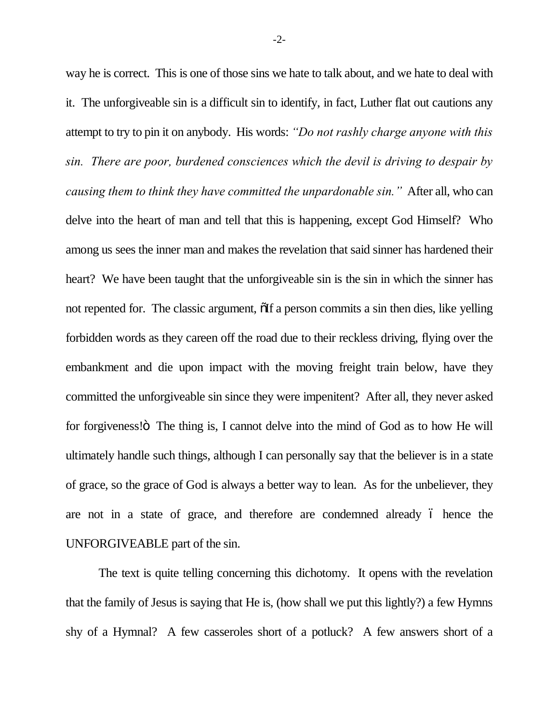way he is correct. This is one of those sins we hate to talk about, and we hate to deal with it. The unforgiveable sin is a difficult sin to identify, in fact, Luther flat out cautions any attempt to try to pin it on anybody. His words: *"Do not rashly charge anyone with this sin. There are poor, burdened consciences which the devil is driving to despair by causing them to think they have committed the unpardonable sin."* After all, who can delve into the heart of man and tell that this is happening, except God Himself? Who among us sees the inner man and makes the revelation that said sinner has hardened their heart? We have been taught that the unforgiveable sin is the sin in which the sinner has not repented for. The classic argument,  $\delta$ If a person commits a sin then dies, like yelling forbidden words as they careen off the road due to their reckless driving, flying over the embankment and die upon impact with the moving freight train below, have they committed the unforgiveable sin since they were impenitent? After all, they never asked for forgiveness! $\ddot{\text{o}}$ . The thing is, I cannot delve into the mind of God as to how He will ultimately handle such things, although I can personally say that the believer is in a state of grace, so the grace of God is always a better way to lean. As for the unbeliever, they are not in a state of grace, and therefore are condemned already 6 hence the UNFORGIVEABLE part of the sin.

The text is quite telling concerning this dichotomy. It opens with the revelation that the family of Jesus is saying that He is, (how shall we put this lightly?) a few Hymns shy of a Hymnal? A few casseroles short of a potluck? A few answers short of a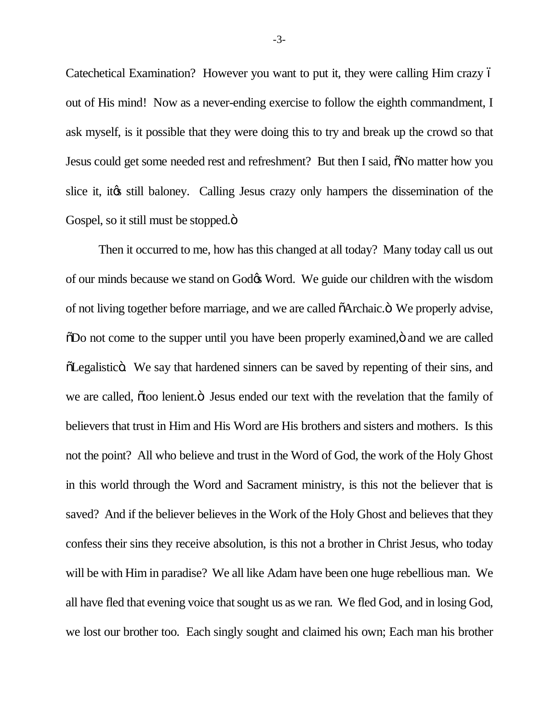Catechetical Examination? However you want to put it, they were calling Him crazy – out of His mind! Now as a never-ending exercise to follow the eighth commandment, I ask myself, is it possible that they were doing this to try and break up the crowd so that Jesus could get some needed rest and refreshment? But then I said,  $\delta$ No matter how you slice it, it to still baloney. Calling Jesus crazy only hampers the dissemination of the Gospel, so it still must be stopped. $\ddot{\mathrm{o}}$ 

Then it occurred to me, how has this changed at all today? Many today call us out of our minds because we stand on God $\alpha$  Word. We guide our children with the wisdom of not living together before marriage, and we are called  $\tilde{o}$ Archaic. $\tilde{o}$  We properly advise,  $\delta$ Do not come to the supper until you have been properly examined,  $\delta$  and we are called  $\delta$ Legalistic $\ddot{\rm{o}}$ . We say that hardened sinners can be saved by repenting of their sins, and we are called,  $\tilde{o}$  too lenient. $\ddot{o}$  Jesus ended our text with the revelation that the family of believers that trust in Him and His Word are His brothers and sisters and mothers. Is this not the point? All who believe and trust in the Word of God, the work of the Holy Ghost in this world through the Word and Sacrament ministry, is this not the believer that is saved? And if the believer believes in the Work of the Holy Ghost and believes that they confess their sins they receive absolution, is this not a brother in Christ Jesus, who today will be with Him in paradise? We all like Adam have been one huge rebellious man. We all have fled that evening voice that sought us as we ran. We fled God, and in losing God, we lost our brother too. Each singly sought and claimed his own; Each man his brother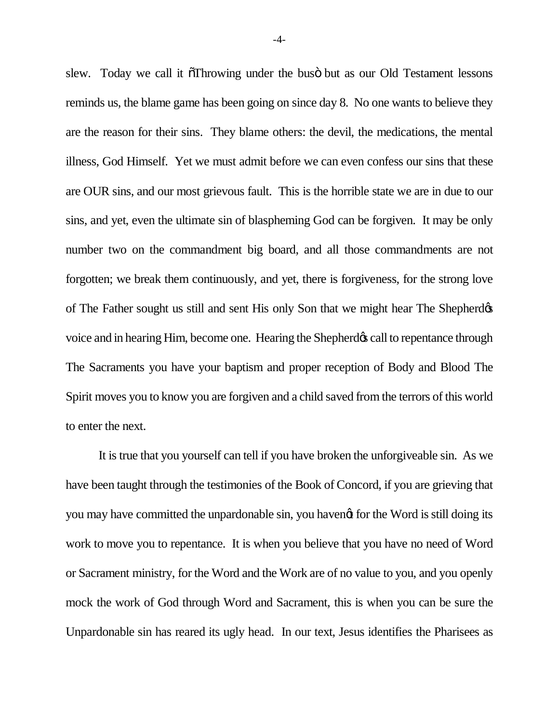slew. Today we call it  $\tilde{\sigma}$ Throwing under the bus $\ddot{\sigma}$  but as our Old Testament lessons reminds us, the blame game has been going on since day 8. No one wants to believe they are the reason for their sins. They blame others: the devil, the medications, the mental illness, God Himself. Yet we must admit before we can even confess our sins that these are OUR sins, and our most grievous fault. This is the horrible state we are in due to our sins, and yet, even the ultimate sin of blaspheming God can be forgiven. It may be only number two on the commandment big board, and all those commandments are not forgotten; we break them continuously, and yet, there is forgiveness, for the strong love of The Father sought us still and sent His only Son that we might hear The Shepherd voice and in hearing Him, become one. Hearing the Shepherd's call to repentance through The Sacraments you have your baptism and proper reception of Body and Blood The Spirit moves you to know you are forgiven and a child saved from the terrors of this world to enter the next.

It is true that you yourself can tell if you have broken the unforgiveable sin. As we have been taught through the testimonies of the Book of Concord, if you are grieving that you may have committed the unpardonable sin, you havengt for the Word is still doing its work to move you to repentance. It is when you believe that you have no need of Word or Sacrament ministry, for the Word and the Work are of no value to you, and you openly mock the work of God through Word and Sacrament, this is when you can be sure the Unpardonable sin has reared its ugly head. In our text, Jesus identifies the Pharisees as